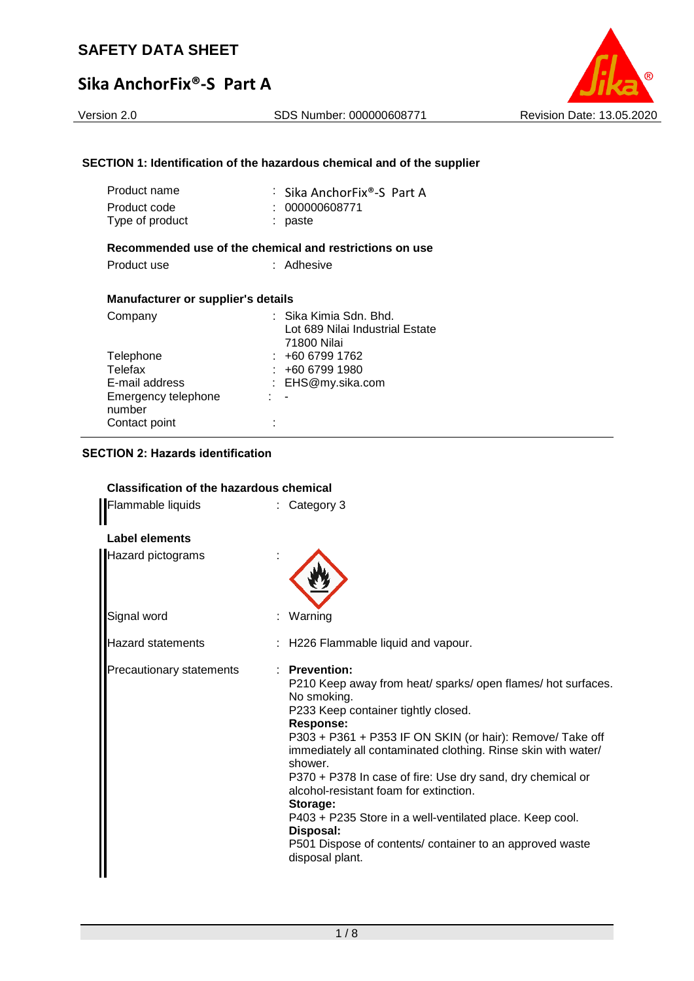# **Sika AnchorFix®-S Part A**

# Version 2.0 SDS Number: 000000608771 Revision Date: 13.05.2020

## **SECTION 1: Identification of the hazardous chemical and of the supplier**

| Product name    | : Sika AnchorFix®-S Part A |
|-----------------|----------------------------|
| Product code    | : 000000608771             |
| Type of product | : paste                    |
|                 |                            |

# **Recommended use of the chemical and restrictions on use**

#### **Manufacturer or supplier's details**

| Company             |     | : Sika Kimia Sdn. Bhd.<br>Lot 689 Nilai Industrial Estate |
|---------------------|-----|-----------------------------------------------------------|
|                     |     | 71800 Nilai                                               |
| Telephone           |     | $: +6067991762$                                           |
| Telefax             |     | : 46067991980                                             |
| E-mail address      |     | : EHS@my.sika.com                                         |
| Emergency telephone | 1 H |                                                           |
| number              |     |                                                           |
| Contact point       |     |                                                           |

# **SECTION 2: Hazards identification**

# **Classification of the hazardous chemical**

| Flammable liquids        | Category 3                                                                                                                                                                                                                                                                                                                                                                                                                                                                                                                                                                     |
|--------------------------|--------------------------------------------------------------------------------------------------------------------------------------------------------------------------------------------------------------------------------------------------------------------------------------------------------------------------------------------------------------------------------------------------------------------------------------------------------------------------------------------------------------------------------------------------------------------------------|
| Label elements           |                                                                                                                                                                                                                                                                                                                                                                                                                                                                                                                                                                                |
| <b>Hazard pictograms</b> |                                                                                                                                                                                                                                                                                                                                                                                                                                                                                                                                                                                |
| Signal word              | Warning                                                                                                                                                                                                                                                                                                                                                                                                                                                                                                                                                                        |
| <b>Hazard statements</b> | : H226 Flammable liquid and vapour.                                                                                                                                                                                                                                                                                                                                                                                                                                                                                                                                            |
| Precautionary statements | $:$ Prevention:<br>P210 Keep away from heat/ sparks/ open flames/ hot surfaces.<br>No smoking.<br>P233 Keep container tightly closed.<br><b>Response:</b><br>P303 + P361 + P353 IF ON SKIN (or hair): Remove/ Take off<br>immediately all contaminated clothing. Rinse skin with water/<br>shower.<br>P370 + P378 In case of fire: Use dry sand, dry chemical or<br>alcohol-resistant foam for extinction.<br>Storage:<br>P403 + P235 Store in a well-ventilated place. Keep cool.<br>Disposal:<br>P501 Dispose of contents/ container to an approved waste<br>disposal plant. |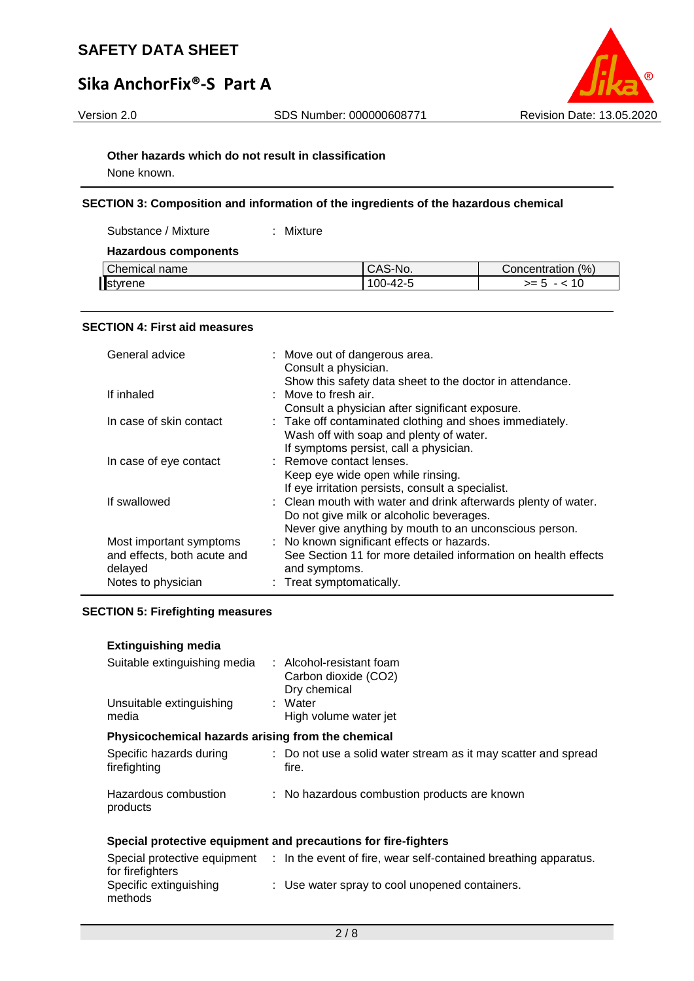# **Sika AnchorFix®-S Part A**



#### **Other hazards which do not result in classification**

None known.

#### **SECTION 3: Composition and information of the ingredients of the hazardous chemical**

Substance / Mixture : Mixture

#### **Hazardous components**

| Chemical name<br>⊡NG.<br>UAJ | (% )<br>Concentration |
|------------------------------|-----------------------|
| styrene<br>00،               | ~- r<br>--            |

#### **SECTION 4: First aid measures**

| General advice              | : Move out of dangerous area.<br>Consult a physician.          |
|-----------------------------|----------------------------------------------------------------|
|                             | Show this safety data sheet to the doctor in attendance.       |
| If inhaled                  | $\therefore$ Move to fresh air.                                |
|                             | Consult a physician after significant exposure.                |
| In case of skin contact     | : Take off contaminated clothing and shoes immediately.        |
|                             | Wash off with soap and plenty of water.                        |
|                             | If symptoms persist, call a physician.                         |
| In case of eye contact      | : Remove contact lenses.                                       |
|                             | Keep eye wide open while rinsing.                              |
|                             | If eye irritation persists, consult a specialist.              |
| If swallowed                | : Clean mouth with water and drink afterwards plenty of water. |
|                             | Do not give milk or alcoholic beverages.                       |
|                             | Never give anything by mouth to an unconscious person.         |
| Most important symptoms     | : No known significant effects or hazards.                     |
| and effects, both acute and | See Section 11 for more detailed information on health effects |
| delayed                     | and symptoms.                                                  |
| Notes to physician          | : Treat symptomatically.                                       |

#### **SECTION 5: Firefighting measures**

## **Extinguishing media**

| Suitable extinguishing media<br>Unsuitable extinguishing<br>media | : Alcohol-resistant foam<br>Carbon dioxide (CO2)<br>Dry chemical<br>: Water<br>High volume water jet |
|-------------------------------------------------------------------|------------------------------------------------------------------------------------------------------|
| Physicochemical hazards arising from the chemical                 |                                                                                                      |
| Specific hazards during<br>firefighting                           | : Do not use a solid water stream as it may scatter and spread<br>fire.                              |
| Hazardous combustion<br>products                                  | : No hazardous combustion products are known                                                         |

# **Special protective equipment and precautions for fire-fighters**

| Special protective equipment | : In the event of fire, wear self-contained breathing apparatus. |
|------------------------------|------------------------------------------------------------------|
| for firefighters             |                                                                  |
| Specific extinguishing       | : Use water spray to cool unopened containers.                   |
| methods                      |                                                                  |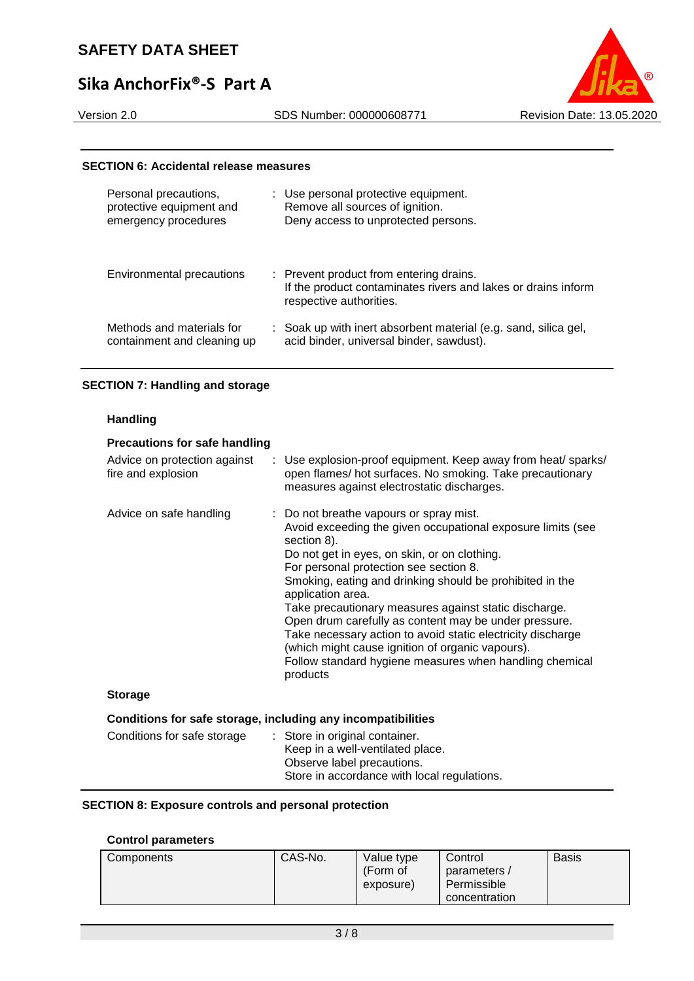# **Sika AnchorFix®-S Part A**

#### Version 2.0 SDS Number: 000000608771 Revision Date: 13.05.2020



#### **SECTION 6: Accidental release measures**

| Personal precautions,<br>protective equipment and<br>emergency procedures | : Use personal protective equipment.<br>Remove all sources of ignition.<br>Deny access to unprotected persons.                      |
|---------------------------------------------------------------------------|-------------------------------------------------------------------------------------------------------------------------------------|
| Environmental precautions                                                 | : Prevent product from entering drains.<br>If the product contaminates rivers and lakes or drains inform<br>respective authorities. |
| Methods and materials for<br>containment and cleaning up                  | : Soak up with inert absorbent material (e.g. sand, silica gel,<br>acid binder, universal binder, sawdust).                         |

#### **SECTION 7: Handling and storage**

#### **Handling**

| <b>Precautions for safe handling</b>                         |                                                                                                                                                                                                                                                                                                                                                                                                                                                                                                                                                                                                              |
|--------------------------------------------------------------|--------------------------------------------------------------------------------------------------------------------------------------------------------------------------------------------------------------------------------------------------------------------------------------------------------------------------------------------------------------------------------------------------------------------------------------------------------------------------------------------------------------------------------------------------------------------------------------------------------------|
| Advice on protection against<br>fire and explosion           | : Use explosion-proof equipment. Keep away from heat/ sparks/<br>open flames/ hot surfaces. No smoking. Take precautionary<br>measures against electrostatic discharges.                                                                                                                                                                                                                                                                                                                                                                                                                                     |
| Advice on safe handling                                      | : Do not breathe vapours or spray mist.<br>Avoid exceeding the given occupational exposure limits (see<br>section 8).<br>Do not get in eyes, on skin, or on clothing.<br>For personal protection see section 8.<br>Smoking, eating and drinking should be prohibited in the<br>application area.<br>Take precautionary measures against static discharge.<br>Open drum carefully as content may be under pressure.<br>Take necessary action to avoid static electricity discharge<br>(which might cause ignition of organic vapours).<br>Follow standard hygiene measures when handling chemical<br>products |
| <b>Storage</b>                                               |                                                                                                                                                                                                                                                                                                                                                                                                                                                                                                                                                                                                              |
| Conditions for safe storage, including any incompatibilities |                                                                                                                                                                                                                                                                                                                                                                                                                                                                                                                                                                                                              |
| Conditions for safe storage                                  | : Store in original container.<br>Keep in a well-ventilated place.<br>Observe label precautions.                                                                                                                                                                                                                                                                                                                                                                                                                                                                                                             |

#### **SECTION 8: Exposure controls and personal protection**

# **Control parameters**

| Components | CAS-No.<br>Value type<br>(Form of<br>exposure) | Control<br>parameters /<br>Permissible<br>concentration | Basis |
|------------|------------------------------------------------|---------------------------------------------------------|-------|
|------------|------------------------------------------------|---------------------------------------------------------|-------|

Store in accordance with local regulations.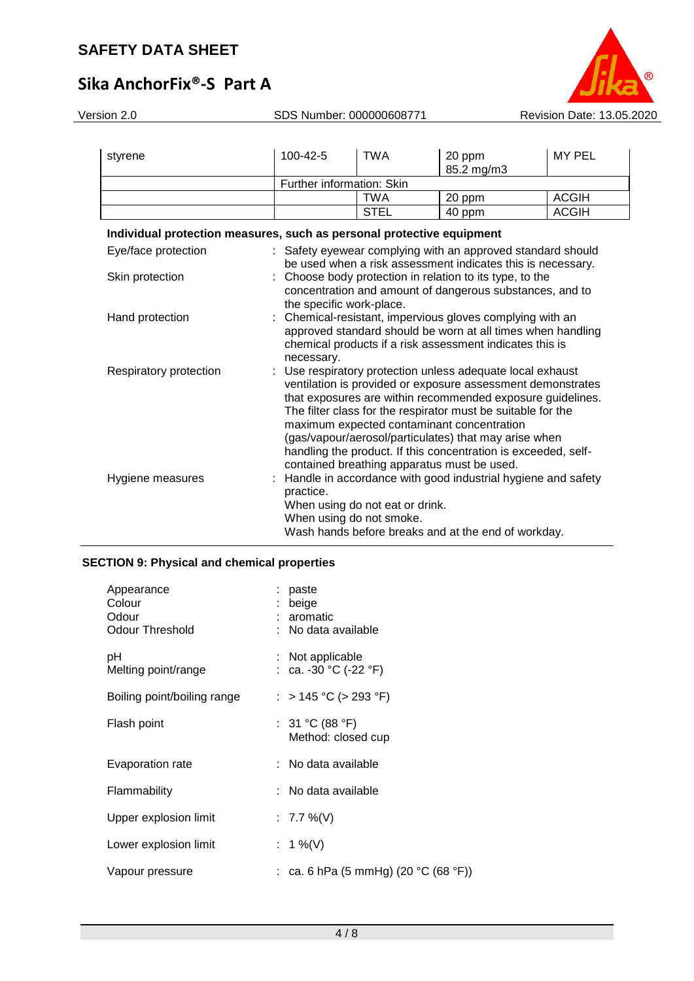# **Sika AnchorFix®-S Part A**

| Version 2.0                                                           | SDS Number: 000000608771                                                                                                  |                                                                                                                          |                                                             | Revision Date: 13.05.2020 |  |  |  |  |
|-----------------------------------------------------------------------|---------------------------------------------------------------------------------------------------------------------------|--------------------------------------------------------------------------------------------------------------------------|-------------------------------------------------------------|---------------------------|--|--|--|--|
|                                                                       |                                                                                                                           |                                                                                                                          |                                                             |                           |  |  |  |  |
| styrene                                                               | 100-42-5                                                                                                                  | <b>TWA</b>                                                                                                               | 20 ppm<br>85.2 mg/m3                                        | <b>MY PEL</b>             |  |  |  |  |
|                                                                       |                                                                                                                           | Further information: Skin                                                                                                |                                                             |                           |  |  |  |  |
|                                                                       |                                                                                                                           | <b>TWA</b>                                                                                                               | 20 ppm                                                      | <b>ACGIH</b>              |  |  |  |  |
|                                                                       |                                                                                                                           | <b>STEL</b>                                                                                                              | 40 ppm                                                      | <b>ACGIH</b>              |  |  |  |  |
| Individual protection measures, such as personal protective equipment |                                                                                                                           |                                                                                                                          |                                                             |                           |  |  |  |  |
|                                                                       |                                                                                                                           |                                                                                                                          |                                                             |                           |  |  |  |  |
| Eye/face protection                                                   |                                                                                                                           |                                                                                                                          | : Safety eyewear complying with an approved standard should |                           |  |  |  |  |
|                                                                       |                                                                                                                           | be used when a risk assessment indicates this is necessary.<br>: Choose body protection in relation to its type, to the  |                                                             |                           |  |  |  |  |
| Skin protection                                                       |                                                                                                                           |                                                                                                                          |                                                             |                           |  |  |  |  |
|                                                                       |                                                                                                                           | concentration and amount of dangerous substances, and to                                                                 |                                                             |                           |  |  |  |  |
| Hand protection                                                       |                                                                                                                           | the specific work-place.                                                                                                 |                                                             |                           |  |  |  |  |
|                                                                       |                                                                                                                           | : Chemical-resistant, impervious gloves complying with an<br>approved standard should be worn at all times when handling |                                                             |                           |  |  |  |  |
|                                                                       |                                                                                                                           | chemical products if a risk assessment indicates this is                                                                 |                                                             |                           |  |  |  |  |
|                                                                       | necessary.                                                                                                                |                                                                                                                          |                                                             |                           |  |  |  |  |
| Respiratory protection                                                |                                                                                                                           |                                                                                                                          | : Use respiratory protection unless adequate local exhaust  |                           |  |  |  |  |
|                                                                       |                                                                                                                           |                                                                                                                          |                                                             |                           |  |  |  |  |
|                                                                       | ventilation is provided or exposure assessment demonstrates<br>that exposures are within recommended exposure guidelines. |                                                                                                                          |                                                             |                           |  |  |  |  |
|                                                                       | The filter class for the respirator must be suitable for the                                                              |                                                                                                                          |                                                             |                           |  |  |  |  |
|                                                                       | maximum expected contaminant concentration                                                                                |                                                                                                                          |                                                             |                           |  |  |  |  |
|                                                                       | (gas/vapour/aerosol/particulates) that may arise when                                                                     |                                                                                                                          |                                                             |                           |  |  |  |  |
|                                                                       |                                                                                                                           |                                                                                                                          |                                                             |                           |  |  |  |  |
|                                                                       |                                                                                                                           | handling the product. If this concentration is exceeded, self-                                                           |                                                             |                           |  |  |  |  |
|                                                                       |                                                                                                                           | contained breathing apparatus must be used.                                                                              |                                                             |                           |  |  |  |  |

| Hygiene measures | : Handle in accordance with good industrial hygiene and safety |
|------------------|----------------------------------------------------------------|
|                  | practice.                                                      |
|                  | When using do not eat or drink.                                |
|                  | When using do not smoke.                                       |
|                  | Wash hands before breaks and at the end of workday.            |

# **SECTION 9: Physical and chemical properties**

| Appearance<br>Colour<br>Odour<br>Odour Threshold | paste<br>beige<br>: aromatic<br>: No data available |
|--------------------------------------------------|-----------------------------------------------------|
| рH<br>Melting point/range                        | Not applicable<br>: ca. -30 °C (-22 °F)             |
| Boiling point/boiling range                      | : > 145 °C (> 293 °F)                               |
| Flash point                                      | : $31 °C (88 °F)$<br>Method: closed cup             |
| Evaporation rate                                 | : No data available                                 |
| Flammability                                     | : No data available                                 |
| Upper explosion limit                            | : 7.7 %(V)                                          |
| Lower explosion limit                            | : 1 %(V)                                            |
| Vapour pressure                                  | : ca. 6 hPa (5 mmHg) (20 °C (68 °F))                |
|                                                  |                                                     |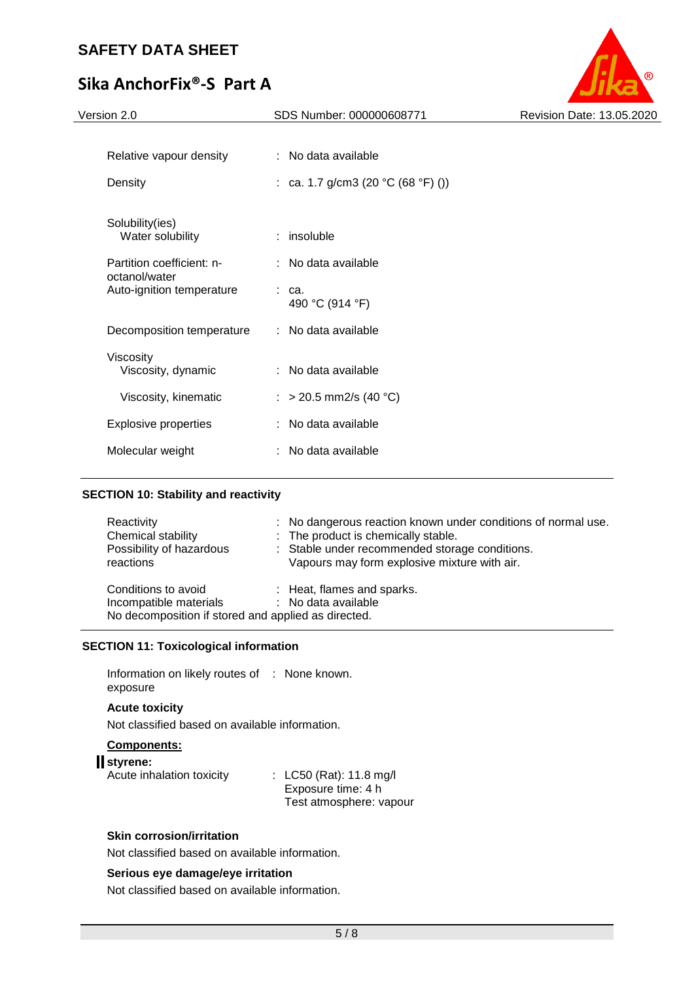# **Sika AnchorFix®-S Part A**



| Version 2.0                                | SDS Number: 000000608771           | Revision Date: 13.05.2020 |
|--------------------------------------------|------------------------------------|---------------------------|
|                                            |                                    |                           |
| Relative vapour density                    | : No data available                |                           |
| Density                                    | : ca. 1.7 g/cm3 (20 °C (68 °F) ()) |                           |
|                                            |                                    |                           |
| Solubility(ies)<br>Water solubility        | $:$ insoluble                      |                           |
| Partition coefficient: n-<br>octanol/water | : No data available                |                           |
| Auto-ignition temperature                  | : ca.<br>490 °C (914 °F)           |                           |
| Decomposition temperature                  | : No data available                |                           |
| Viscosity                                  |                                    |                           |
| Viscosity, dynamic                         | : No data available                |                           |
| Viscosity, kinematic                       | : > 20.5 mm2/s (40 °C)             |                           |
| <b>Explosive properties</b>                | : No data available                |                           |
| Molecular weight                           | : No data available                |                           |
|                                            |                                    |                           |

## **SECTION 10: Stability and reactivity**

| Reactivity<br>Chemical stability<br>Possibility of hazardous<br>reactions                            | : No dangerous reaction known under conditions of normal use.<br>: The product is chemically stable.<br>: Stable under recommended storage conditions.<br>Vapours may form explosive mixture with air. |
|------------------------------------------------------------------------------------------------------|--------------------------------------------------------------------------------------------------------------------------------------------------------------------------------------------------------|
| Conditions to avoid<br>Incompatible materials<br>No decomposition if stored and applied as directed. | : Heat, flames and sparks.<br>: No data available                                                                                                                                                      |

## **SECTION 11: Toxicological information**

Information on likely routes of : None known. exposure

# **Acute toxicity**

Not classified based on available information.

# **Components:**

# **styrene:**

| Acute inhalation toxicity | : LC50 (Rat): 11.8 mg/l |
|---------------------------|-------------------------|
|                           | Exposure time: 4 h      |
|                           | Test atmosphere: vapour |

# **Skin corrosion/irritation**

Not classified based on available information.

# **Serious eye damage/eye irritation**

Not classified based on available information.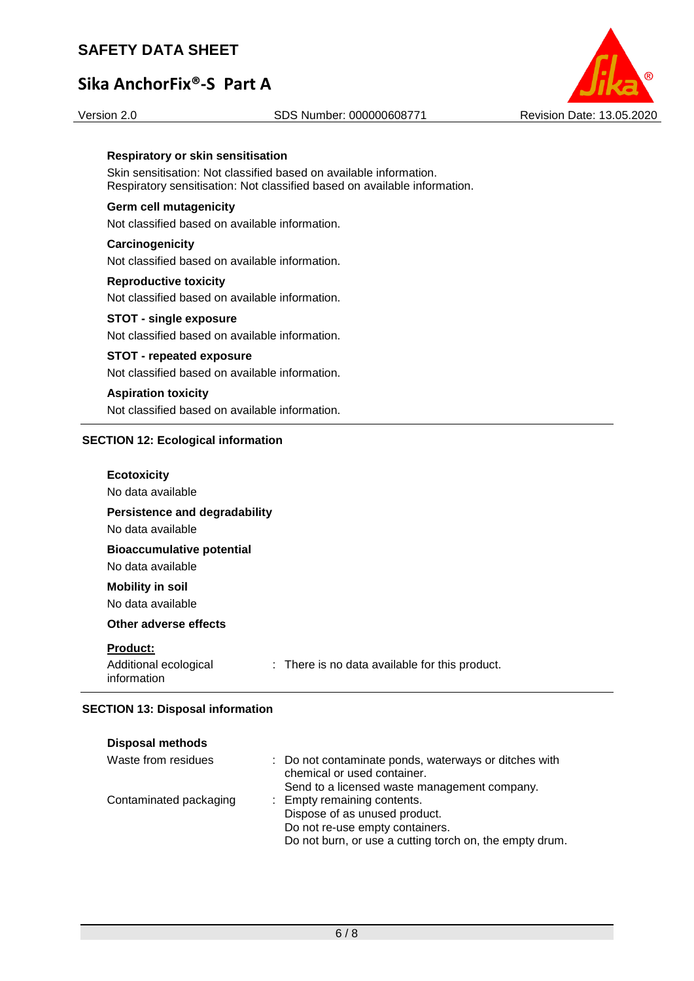# **Sika AnchorFix®-S Part A**

#### Version 2.0 SDS Number: 000000608771 Revision Date: 13.05.2020



#### **Respiratory or skin sensitisation**

Skin sensitisation: Not classified based on available information. Respiratory sensitisation: Not classified based on available information.

#### **Germ cell mutagenicity**

Not classified based on available information.

# **Carcinogenicity** Not classified based on available information.

**Reproductive toxicity** Not classified based on available information.

# **STOT - single exposure** Not classified based on available information.

## **STOT - repeated exposure** Not classified based on available information.

## **Aspiration toxicity** Not classified based on available information.

## **SECTION 12: Ecological information**

| <b>Ecotoxicity</b><br>No data available                   |                                                |
|-----------------------------------------------------------|------------------------------------------------|
| <b>Persistence and degradability</b><br>No data available |                                                |
| <b>Bioaccumulative potential</b><br>No data available     |                                                |
| <b>Mobility in soil</b><br>No data available              |                                                |
| Other adverse effects                                     |                                                |
| <b>Product:</b><br>Additional ecological<br>information   | : There is no data available for this product. |

## **SECTION 13: Disposal information**

| <b>Disposal methods</b> |                                                                                      |
|-------------------------|--------------------------------------------------------------------------------------|
| Waste from residues     | : Do not contaminate ponds, waterways or ditches with<br>chemical or used container. |
|                         | Send to a licensed waste management company.                                         |
| Contaminated packaging  | : Empty remaining contents.                                                          |
|                         | Dispose of as unused product.                                                        |
|                         | Do not re-use empty containers.                                                      |
|                         | Do not burn, or use a cutting torch on, the empty drum.                              |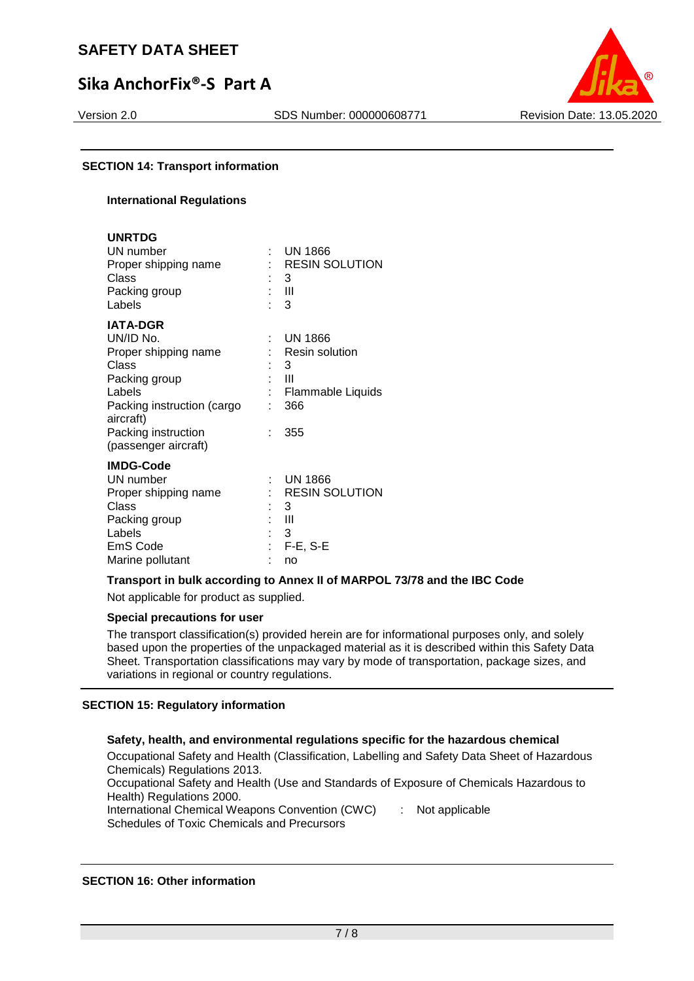# **Sika AnchorFix®-S Part A**



## **SECTION 14: Transport information**

## **International Regulations**

| <b>UNRTDG</b><br>UN number<br>Proper shipping name<br>Class<br>Packing group<br>Labels                                                                     |                      | $:$ UN 1866<br>: RESIN SOLUTION<br>3<br>: III<br>3                                 |
|------------------------------------------------------------------------------------------------------------------------------------------------------------|----------------------|------------------------------------------------------------------------------------|
| <b>IATA-DGR</b><br>UN/ID No.<br>Proper shipping name<br>Class<br>Packing group<br>Labels<br>Packing instruction (cargo<br>aircraft)<br>Packing instruction | t.<br>t.<br>t.<br>÷. | <b>UN 1866</b><br>: Resin solution<br>3<br>-III<br>Flammable Liquids<br>366<br>355 |
| (passenger aircraft)<br><b>IMDG-Code</b><br>UN number<br>Proper shipping name<br>Class<br>Packing group<br>Labels<br>EmS Code<br>Marine pollutant          | t.                   | <b>UN 1866</b><br>: RESIN SOLUTION<br>3<br>: III<br>3<br>$F-E$ , S-E<br>no         |

## **Transport in bulk according to Annex II of MARPOL 73/78 and the IBC Code**

Not applicable for product as supplied.

#### **Special precautions for user**

The transport classification(s) provided herein are for informational purposes only, and solely based upon the properties of the unpackaged material as it is described within this Safety Data Sheet. Transportation classifications may vary by mode of transportation, package sizes, and variations in regional or country regulations.

## **SECTION 15: Regulatory information**

## **Safety, health, and environmental regulations specific for the hazardous chemical**

Occupational Safety and Health (Classification, Labelling and Safety Data Sheet of Hazardous Chemicals) Regulations 2013. Occupational Safety and Health (Use and Standards of Exposure of Chemicals Hazardous to Health) Regulations 2000. International Chemical Weapons Convention (CWC) : Not applicable

Schedules of Toxic Chemicals and Precursors

#### **SECTION 16: Other information**